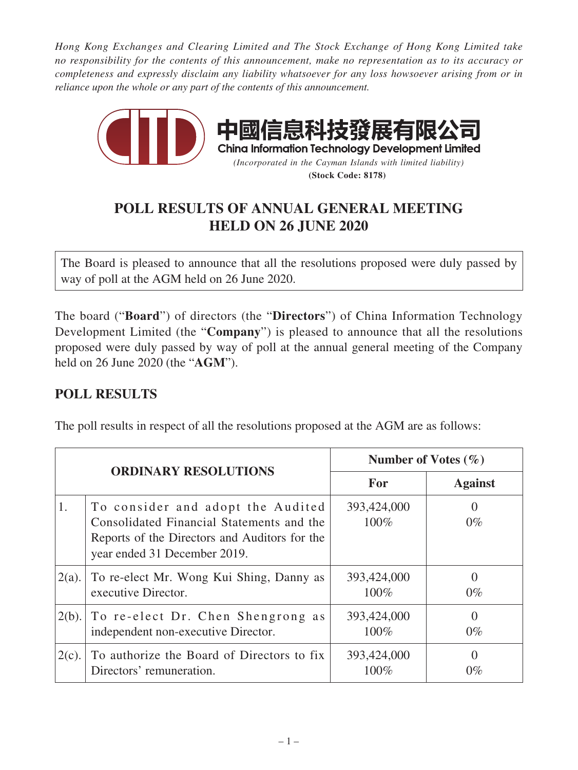*Hong Kong Exchanges and Clearing Limited and The Stock Exchange of Hong Kong Limited take no responsibility for the contents of this announcement, make no representation as to its accuracy or completeness and expressly disclaim any liability whatsoever for any loss howsoever arising from or in reliance upon the whole or any part of the contents of this announcement.*



## **POLL RESULTS OF ANNUAL GENERAL MEETING HELD ON 26 JUNE 2020**

The Board is pleased to announce that all the resolutions proposed were duly passed by way of poll at the AGM held on 26 June 2020.

The board ("**Board**") of directors (the "**Directors**") of China Information Technology Development Limited (the "**Company**") is pleased to announce that all the resolutions proposed were duly passed by way of poll at the annual general meeting of the Company held on 26 June 2020 (the "**AGM**").

## **POLL RESULTS**

The poll results in respect of all the resolutions proposed at the AGM are as follows:

| <b>ORDINARY RESOLUTIONS</b> |                                                                                                                                                                 | Number of Votes $(\% )$ |                           |
|-----------------------------|-----------------------------------------------------------------------------------------------------------------------------------------------------------------|-------------------------|---------------------------|
|                             |                                                                                                                                                                 | For                     | <b>Against</b>            |
| 1.                          | To consider and adopt the Audited<br>Consolidated Financial Statements and the<br>Reports of the Directors and Auditors for the<br>year ended 31 December 2019. | 393,424,000<br>100%     | $0\%$                     |
| $2(a)$ .                    | To re-elect Mr. Wong Kui Shing, Danny as<br>executive Director.                                                                                                 | 393,424,000<br>100%     | $0\%$                     |
| 2(b).                       | To re-elect Dr. Chen Shengrong as<br>independent non-executive Director.                                                                                        | 393,424,000<br>100%     | $\left( \right)$<br>$0\%$ |
| $2(c)$ .                    | To authorize the Board of Directors to fix<br>Directors' remuneration.                                                                                          | 393,424,000<br>100%     | $\left( \right)$<br>$0\%$ |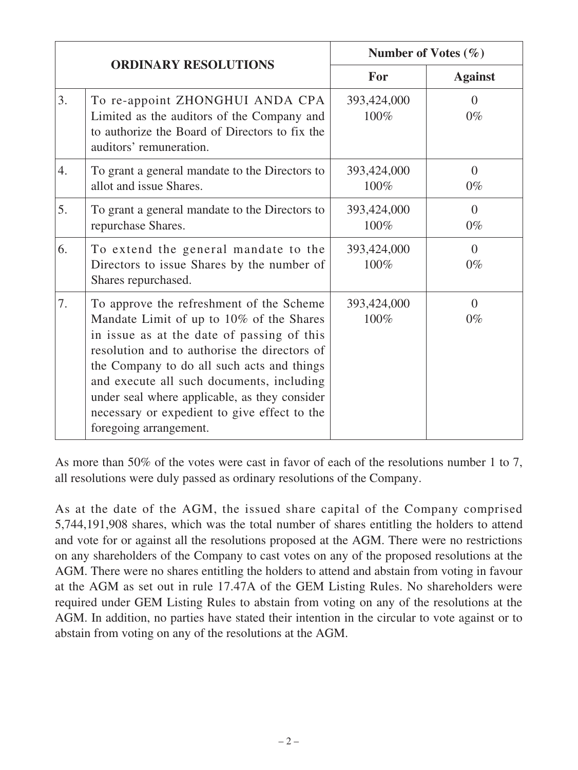| <b>ORDINARY RESOLUTIONS</b> |                                                                                                                                                                                                                                                                                                                                                                                                          | Number of Votes $(\% )$ |                   |
|-----------------------------|----------------------------------------------------------------------------------------------------------------------------------------------------------------------------------------------------------------------------------------------------------------------------------------------------------------------------------------------------------------------------------------------------------|-------------------------|-------------------|
|                             |                                                                                                                                                                                                                                                                                                                                                                                                          | For                     | <b>Against</b>    |
| 3.                          | To re-appoint ZHONGHUI ANDA CPA<br>Limited as the auditors of the Company and<br>to authorize the Board of Directors to fix the<br>auditors' remuneration.                                                                                                                                                                                                                                               | 393,424,000<br>100%     | $\Omega$<br>$0\%$ |
| 4.                          | To grant a general mandate to the Directors to<br>allot and issue Shares.                                                                                                                                                                                                                                                                                                                                | 393,424,000<br>100%     | $\theta$<br>$0\%$ |
| 5.                          | To grant a general mandate to the Directors to<br>repurchase Shares.                                                                                                                                                                                                                                                                                                                                     | 393,424,000<br>100%     | $\Omega$<br>$0\%$ |
| 6.                          | To extend the general mandate to the<br>Directors to issue Shares by the number of<br>Shares repurchased.                                                                                                                                                                                                                                                                                                | 393,424,000<br>100%     | $\Omega$<br>$0\%$ |
| 7.                          | To approve the refreshment of the Scheme<br>Mandate Limit of up to 10% of the Shares<br>in issue as at the date of passing of this<br>resolution and to authorise the directors of<br>the Company to do all such acts and things<br>and execute all such documents, including<br>under seal where applicable, as they consider<br>necessary or expedient to give effect to the<br>foregoing arrangement. | 393,424,000<br>100%     | $\Omega$<br>$0\%$ |

As more than 50% of the votes were cast in favor of each of the resolutions number 1 to 7, all resolutions were duly passed as ordinary resolutions of the Company.

As at the date of the AGM, the issued share capital of the Company comprised 5,744,191,908 shares, which was the total number of shares entitling the holders to attend and vote for or against all the resolutions proposed at the AGM. There were no restrictions on any shareholders of the Company to cast votes on any of the proposed resolutions at the AGM. There were no shares entitling the holders to attend and abstain from voting in favour at the AGM as set out in rule 17.47A of the GEM Listing Rules. No shareholders were required under GEM Listing Rules to abstain from voting on any of the resolutions at the AGM. In addition, no parties have stated their intention in the circular to vote against or to abstain from voting on any of the resolutions at the AGM.